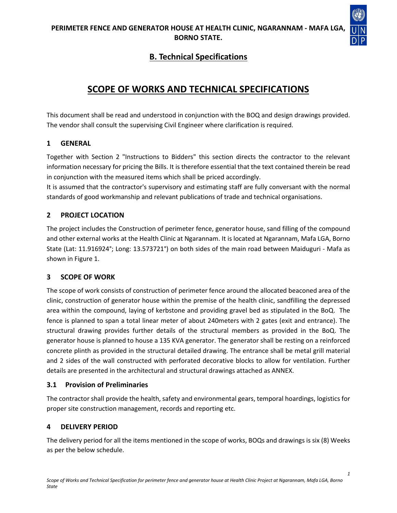

# **B. Technical Specifications**

# **SCOPE OF WORKS AND TECHNICAL SPECIFICATIONS**

This document shall be read and understood in conjunction with the BOQ and design drawings provided. The vendor shall consult the supervising Civil Engineer where clarification is required.

### **1 GENERAL**

Together with Section 2 "Instructions to Bidders" this section directs the contractor to the relevant information necessary for pricing the Bills. It is therefore essential that the text contained therein be read in conjunction with the measured items which shall be priced accordingly.

It is assumed that the contractor's supervisory and estimating staff are fully conversant with the normal standards of good workmanship and relevant publications of trade and technical organisations.

# **2 PROJECT LOCATION**

The project includes the Construction of perimeter fence, generator house, sand filling of the compound and other external works at the Health Clinic at Ngarannam. It is located at Ngarannam, Mafa LGA, Borno State (Lat: 11.916924°; Long: 13.573721°) on both sides of the main road between Maiduguri - Mafa as shown in Figure 1.

# **3 SCOPE OF WORK**

The scope of work consists of construction of perimeter fence around the allocated beaconed area of the clinic, construction of generator house within the premise of the health clinic, sandfilling the depressed area within the compound, laying of kerbstone and providing gravel bed as stipulated in the BoQ. The fence is planned to span a total linear meter of about 240meters with 2 gates (exit and entrance). The structural drawing provides further details of the structural members as provided in the BoQ. The generator house is planned to house a 135 KVA generator. The generator shall be resting on a reinforced concrete plinth as provided in the structural detailed drawing. The entrance shall be metal grill material and 2 sides of the wall constructed with perforated decorative blocks to allow for ventilation. Further details are presented in the architectural and structural drawings attached as ANNEX.

# **3.1 Provision of Preliminaries**

The contractor shall provide the health, safety and environmental gears, temporal hoardings, logistics for proper site construction management, records and reporting etc.

# **4 DELIVERY PERIOD**

The delivery period for all the items mentioned in the scope of works, BOQs and drawings is six (8) Weeks as per the below schedule.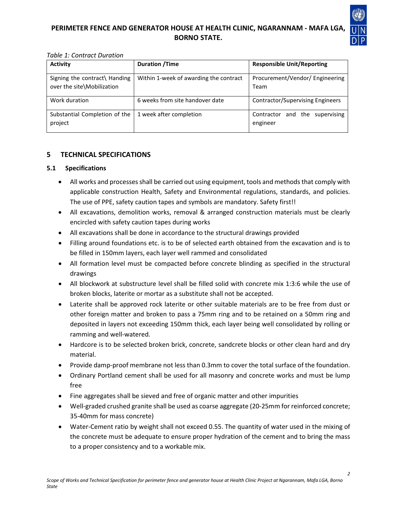

#### *Table 1: Contract Duration*

| <b>Activity</b>                                             | <b>Duration /Time</b>                  | <b>Responsible Unit/Reporting</b>             |
|-------------------------------------------------------------|----------------------------------------|-----------------------------------------------|
| Signing the contract\ Handing<br>over the site\Mobilization | Within 1-week of awarding the contract | Procurement/Vendor/ Engineering<br>Team       |
| Work duration                                               | 6 weeks from site handover date        | <b>Contractor/Supervising Engineers</b>       |
| Substantial Completion of the<br>project                    | 1 week after completion                | Contractor and the<br>supervising<br>engineer |

### **5 TECHNICAL SPECIFICATIONS**

#### **5.1 Specifications**

- All works and processes shall be carried out using equipment, tools and methods that comply with applicable construction Health, Safety and Environmental regulations, standards, and policies. The use of PPE, safety caution tapes and symbols are mandatory. Safety first!!
- All excavations, demolition works, removal & arranged construction materials must be clearly encircled with safety caution tapes during works
- All excavations shall be done in accordance to the structural drawings provided
- Filling around foundations etc. is to be of selected earth obtained from the excavation and is to be filled in 150mm layers, each layer well rammed and consolidated
- All formation level must be compacted before concrete blinding as specified in the structural drawings
- All blockwork at substructure level shall be filled solid with concrete mix 1:3:6 while the use of broken blocks, laterite or mortar as a substitute shall not be accepted.
- Laterite shall be approved rock laterite or other suitable materials are to be free from dust or other foreign matter and broken to pass a 75mm ring and to be retained on a 50mm ring and deposited in layers not exceeding 150mm thick, each layer being well consolidated by rolling or ramming and well-watered.
- Hardcore is to be selected broken brick, concrete, sandcrete blocks or other clean hard and dry material.
- Provide damp-proof membrane not less than 0.3mm to cover the total surface of the foundation.
- Ordinary Portland cement shall be used for all masonry and concrete works and must be lump free
- Fine aggregates shall be sieved and free of organic matter and other impurities
- Well-graded crushed granite shall be used as coarse aggregate (20-25mm for reinforced concrete; 35-40mm for mass concrete)
- Water-Cement ratio by weight shall not exceed 0.55. The quantity of water used in the mixing of the concrete must be adequate to ensure proper hydration of the cement and to bring the mass to a proper consistency and to a workable mix.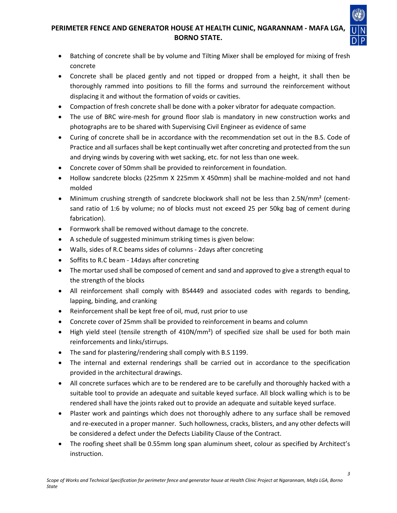- Batching of concrete shall be by volume and Tilting Mixer shall be employed for mixing of fresh concrete
- Concrete shall be placed gently and not tipped or dropped from a height, it shall then be thoroughly rammed into positions to fill the forms and surround the reinforcement without displacing it and without the formation of voids or cavities.
- Compaction of fresh concrete shall be done with a poker vibrator for adequate compaction.
- The use of BRC wire-mesh for ground floor slab is mandatory in new construction works and photographs are to be shared with Supervising Civil Engineer as evidence of same
- Curing of concrete shall be in accordance with the recommendation set out in the B.S. Code of Practice and all surfaces shall be kept continually wet after concreting and protected from the sun and drying winds by covering with wet sacking, etc. for not less than one week.
- Concrete cover of 50mm shall be provided to reinforcement in foundation.
- Hollow sandcrete blocks (225mm X 225mm X 450mm) shall be machine-molded and not hand molded
- Minimum crushing strength of sandcrete blockwork shall not be less than 2.5N/mm<sup>2</sup> (cementsand ratio of 1:6 by volume; no of blocks must not exceed 25 per 50kg bag of cement during fabrication).
- Formwork shall be removed without damage to the concrete.
- A schedule of suggested minimum striking times is given below:
- Walls, sides of R.C beams sides of columns 2days after concreting
- Soffits to R.C beam 14days after concreting
- The mortar used shall be composed of cement and sand and approved to give a strength equal to the strength of the blocks
- All reinforcement shall comply with BS4449 and associated codes with regards to bending, lapping, binding, and cranking
- Reinforcement shall be kept free of oil, mud, rust prior to use
- Concrete cover of 25mm shall be provided to reinforcement in beams and column
- High yield steel (tensile strength of 410N/mm<sup>2</sup>) of specified size shall be used for both main reinforcements and links/stirrups.
- The sand for plastering/rendering shall comply with B.S 1199.
- The internal and external renderings shall be carried out in accordance to the specification provided in the architectural drawings.
- All concrete surfaces which are to be rendered are to be carefully and thoroughly hacked with a suitable tool to provide an adequate and suitable keyed surface. All block walling which is to be rendered shall have the joints raked out to provide an adequate and suitable keyed surface.
- Plaster work and paintings which does not thoroughly adhere to any surface shall be removed and re-executed in a proper manner. Such hollowness, cracks, blisters, and any other defects will be considered a defect under the Defects Liability Clause of the Contract.
- The roofing sheet shall be 0.55mm long span aluminum sheet, colour as specified by Architect's instruction.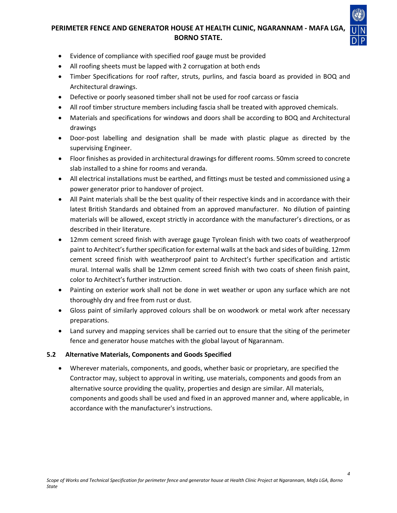

*4*

- Evidence of compliance with specified roof gauge must be provided
- All roofing sheets must be lapped with 2 corrugation at both ends
- Timber Specifications for roof rafter, struts, purlins, and fascia board as provided in BOQ and Architectural drawings.
- Defective or poorly seasoned timber shall not be used for roof carcass or fascia
- All roof timber structure members including fascia shall be treated with approved chemicals.
- Materials and specifications for windows and doors shall be according to BOQ and Architectural drawings
- Door-post labelling and designation shall be made with plastic plague as directed by the supervising Engineer.
- Floor finishes as provided in architectural drawings for different rooms. 50mm screed to concrete slab installed to a shine for rooms and veranda.
- All electrical installations must be earthed, and fittings must be tested and commissioned using a power generator prior to handover of project.
- All Paint materials shall be the best quality of their respective kinds and in accordance with their latest British Standards and obtained from an approved manufacturer. No dilution of painting materials will be allowed, except strictly in accordance with the manufacturer's directions, or as described in their literature.
- 12mm cement screed finish with average gauge Tyrolean finish with two coats of weatherproof paint to Architect's further specification for external walls at the back and sides of building. 12mm cement screed finish with weatherproof paint to Architect's further specification and artistic mural. Internal walls shall be 12mm cement screed finish with two coats of sheen finish paint, color to Architect's further instruction.
- Painting on exterior work shall not be done in wet weather or upon any surface which are not thoroughly dry and free from rust or dust.
- Gloss paint of similarly approved colours shall be on woodwork or metal work after necessary preparations.
- Land survey and mapping services shall be carried out to ensure that the siting of the perimeter fence and generator house matches with the global layout of Ngarannam.

### **5.2 Alternative Materials, Components and Goods Specified**

• Wherever materials, components, and goods, whether basic or proprietary, are specified the Contractor may, subject to approval in writing, use materials, components and goods from an alternative source providing the quality, properties and design are similar. All materials, components and goods shall be used and fixed in an approved manner and, where applicable, in accordance with the manufacturer's instructions.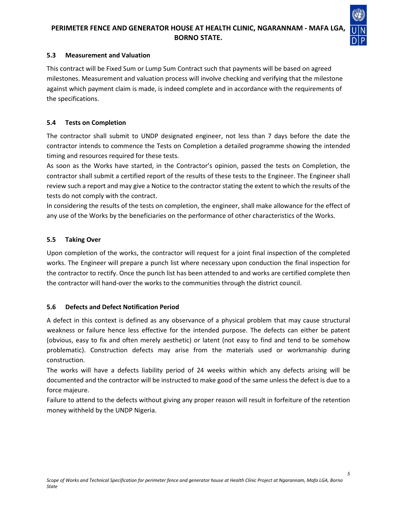

#### **5.3 Measurement and Valuation**

This contract will be Fixed Sum or Lump Sum Contract such that payments will be based on agreed milestones. Measurement and valuation process will involve checking and verifying that the milestone against which payment claim is made, is indeed complete and in accordance with the requirements of the specifications.

#### **5.4 Tests on Completion**

The contractor shall submit to UNDP designated engineer, not less than 7 days before the date the contractor intends to commence the Tests on Completion a detailed programme showing the intended timing and resources required for these tests.

As soon as the Works have started, in the Contractor's opinion, passed the tests on Completion, the contractor shall submit a certified report of the results of these tests to the Engineer. The Engineer shall review such a report and may give a Notice to the contractor stating the extent to which the results of the tests do not comply with the contract.

In considering the results of the tests on completion, the engineer, shall make allowance for the effect of any use of the Works by the beneficiaries on the performance of other characteristics of the Works.

#### **5.5 Taking Over**

Upon completion of the works, the contractor will request for a joint final inspection of the completed works. The Engineer will prepare a punch list where necessary upon conduction the final inspection for the contractor to rectify. Once the punch list has been attended to and works are certified complete then the contractor will hand-over the works to the communities through the district council.

#### **5.6 Defects and Defect Notification Period**

A defect in this context is defined as any observance of a physical problem that may cause structural weakness or failure hence less effective for the intended purpose. The defects can either be patent (obvious, easy to fix and often merely aesthetic) or latent (not easy to find and tend to be somehow problematic). Construction defects may arise from the materials used or workmanship during construction.

The works will have a defects liability period of 24 weeks within which any defects arising will be documented and the contractor will be instructed to make good of the same unless the defect is due to a force majeure.

Failure to attend to the defects without giving any proper reason will result in forfeiture of the retention money withheld by the UNDP Nigeria.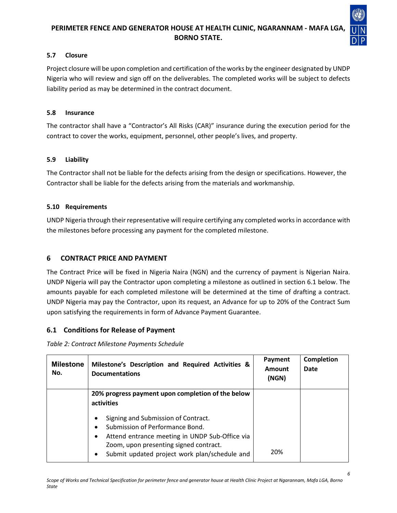

#### **5.7 Closure**

Project closure will be upon completion and certification of the works by the engineer designated by UNDP Nigeria who will review and sign off on the deliverables. The completed works will be subject to defects liability period as may be determined in the contract document.

#### **5.8 Insurance**

The contractor shall have a "Contractor's All Risks (CAR)" insurance during the execution period for the contract to cover the works, equipment, personnel, other people's lives, and property.

### **5.9 Liability**

The Contractor shall not be liable for the defects arising from the design or specifications. However, the Contractor shall be liable for the defects arising from the materials and workmanship.

### **5.10 Requirements**

UNDP Nigeria through their representative will require certifying any completed works in accordance with the milestones before processing any payment for the completed milestone.

### **6 CONTRACT PRICE AND PAYMENT**

The Contract Price will be fixed in Nigeria Naira (NGN) and the currency of payment is Nigerian Naira. UNDP Nigeria will pay the Contractor upon completing a milestone as outlined in section 6.1 below. The amounts payable for each completed milestone will be determined at the time of drafting a contract. UNDP Nigeria may pay the Contractor, upon its request, an Advance for up to 20% of the Contract Sum upon satisfying the requirements in form of Advance Payment Guarantee.

### **6.1 Conditions for Release of Payment**

*Table 2: Contract Milestone Payments Schedule*

| <b>Milestone</b><br>No. | Milestone's Description and Required Activities &<br><b>Documentations</b>                                                                                                                                                              | Payment<br>Amount<br>(NGN) | Completion<br>Date |
|-------------------------|-----------------------------------------------------------------------------------------------------------------------------------------------------------------------------------------------------------------------------------------|----------------------------|--------------------|
|                         | 20% progress payment upon completion of the below<br>activities                                                                                                                                                                         |                            |                    |
|                         | Signing and Submission of Contract.<br>٠<br>Submission of Performance Bond.<br>٠<br>Attend entrance meeting in UNDP Sub-Office via<br>٠<br>Zoom, upon presenting signed contract.<br>Submit updated project work plan/schedule and<br>٠ | 20%                        |                    |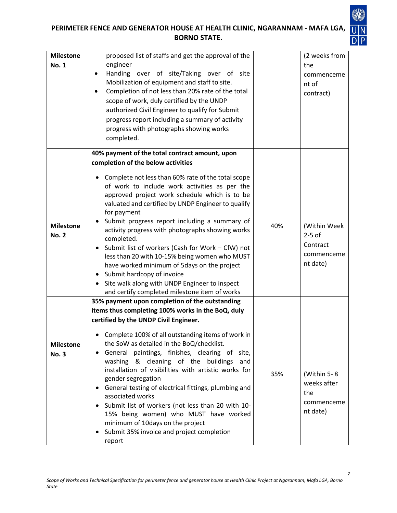

| <b>Milestone</b><br><b>No. 1</b> | proposed list of staffs and get the approval of the<br>engineer<br>Handing over of site/Taking over of site<br>٠<br>Mobilization of equipment and staff to site.<br>Completion of not less than 20% rate of the total<br>scope of work, duly certified by the UNDP<br>authorized Civil Engineer to qualify for Submit                                                                                                                                                                                                                                                                                                                                                                                                                 |     | (2 weeks from<br>the<br>commenceme<br>nt of<br>contract)        |
|----------------------------------|---------------------------------------------------------------------------------------------------------------------------------------------------------------------------------------------------------------------------------------------------------------------------------------------------------------------------------------------------------------------------------------------------------------------------------------------------------------------------------------------------------------------------------------------------------------------------------------------------------------------------------------------------------------------------------------------------------------------------------------|-----|-----------------------------------------------------------------|
|                                  | progress report including a summary of activity<br>progress with photographs showing works<br>completed.                                                                                                                                                                                                                                                                                                                                                                                                                                                                                                                                                                                                                              |     |                                                                 |
| <b>Milestone</b><br><b>No. 2</b> | 40% payment of the total contract amount, upon<br>completion of the below activities<br>Complete not less than 60% rate of the total scope<br>of work to include work activities as per the<br>approved project work schedule which is to be<br>valuated and certified by UNDP Engineer to qualify<br>for payment<br>Submit progress report including a summary of<br>activity progress with photographs showing works<br>completed.<br>Submit list of workers (Cash for Work - CfW) not<br>less than 20 with 10-15% being women who MUST<br>have worked minimum of 5days on the project<br>Submit hardcopy of invoice<br>Site walk along with UNDP Engineer to inspect<br>$\bullet$<br>and certify completed milestone item of works | 40% | (Within Week<br>$2-5$ of<br>Contract<br>commenceme<br>nt date)  |
| <b>Milestone</b><br><b>No. 3</b> | 35% payment upon completion of the outstanding<br>items thus completing 100% works in the BoQ, duly<br>certified by the UNDP Civil Engineer.<br>Complete 100% of all outstanding items of work in<br>the SoW as detailed in the BoQ/checklist.<br>General paintings, finishes, clearing of<br>site,<br>washing & cleaning of the buildings<br>and<br>installation of visibilities with artistic works for<br>gender segregation<br>General testing of electrical fittings, plumbing and<br>associated works<br>Submit list of workers (not less than 20 with 10-<br>15% being women) who MUST have worked<br>minimum of 10days on the project<br>Submit 35% invoice and project completion<br>report                                  | 35% | (Within $5 - 8$<br>weeks after<br>the<br>commenceme<br>nt date) |

*7*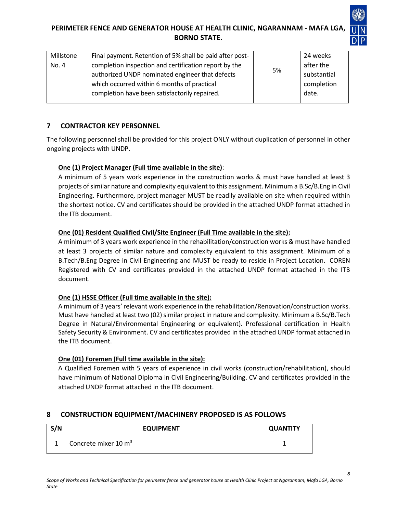

| Millstone | Final payment. Retention of 5% shall be paid after post- |    | 24 weeks    |
|-----------|----------------------------------------------------------|----|-------------|
| No. 4     | completion inspection and certification report by the    |    | after the   |
|           | authorized UNDP nominated engineer that defects          | 5% | substantial |
|           | which occurred within 6 months of practical              |    | completion  |
|           | completion have been satisfactorily repaired.            |    | date.       |
|           |                                                          |    |             |

### **7 CONTRACTOR KEY PERSONNEL**

The following personnel shall be provided for this project ONLY without duplication of personnel in other ongoing projects with UNDP.

### **One (1) Project Manager (Full time available in the site)**:

A minimum of 5 years work experience in the construction works & must have handled at least 3 projects of similar nature and complexity equivalent to this assignment. Minimum a B.Sc/B.Eng in Civil Engineering. Furthermore, project manager MUST be readily available on site when required within the shortest notice. CV and certificates should be provided in the attached UNDP format attached in the ITB document.

### **One (01) Resident Qualified Civil/Site Engineer (Full Time available in the site):**

A minimum of 3 years work experience in the rehabilitation/construction works & must have handled at least 3 projects of similar nature and complexity equivalent to this assignment. Minimum of a B.Tech/B.Eng Degree in Civil Engineering and MUST be ready to reside in Project Location. COREN Registered with CV and certificates provided in the attached UNDP format attached in the ITB document.

### **One (1) HSSE Officer (Full time available in the site):**

A minimum of 3 years' relevant work experience in the rehabilitation/Renovation/construction works. Must have handled at least two (02) similar project in nature and complexity. Minimum a B.Sc/B.Tech Degree in Natural/Environmental Engineering or equivalent). Professional certification in Health Safety Security & Environment. CV and certificates provided in the attached UNDP format attached in the ITB document.

### **One (01) Foremen (Full time available in the site):**

A Qualified Foremen with 5 years of experience in civil works (construction/rehabilitation), should have minimum of National Diploma in Civil Engineering/Building. CV and certificates provided in the attached UNDP format attached in the ITB document.

# **8 CONSTRUCTION EQUIPMENT/MACHINERY PROPOSED IS AS FOLLOWS**

| S/N | <b>EQUIPMENT</b>                | <b>QUANTITY</b> |
|-----|---------------------------------|-----------------|
|     | Concrete mixer $10 \text{ m}^3$ |                 |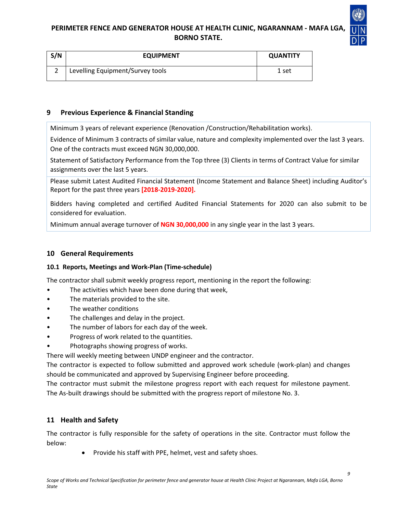

| S/N | <b>EQUIPMENT</b>                 | <b>QUANTITY</b> |
|-----|----------------------------------|-----------------|
|     | Levelling Equipment/Survey tools | 1 set           |

#### **9 Previous Experience & Financial Standing**

Minimum 3 years of relevant experience (Renovation /Construction/Rehabilitation works).

Evidence of Minimum 3 contracts of similar value, nature and complexity implemented over the last 3 years. One of the contracts must exceed NGN 30,000,000.

Statement of Satisfactory Performance from the Top three (3) Clients in terms of Contract Value for similar assignments over the last 5 years.

Please submit Latest Audited Financial Statement (Income Statement and Balance Sheet) including Auditor's Report for the past three years **[2018-2019-2020].**

Bidders having completed and certified Audited Financial Statements for 2020 can also submit to be considered for evaluation.

Minimum annual average turnover of **NGN 30,000,000** in any single year in the last 3 years.

#### **10 General Requirements**

#### **10.1 Reports, Meetings and Work-Plan (Time-schedule)**

The contractor shall submit weekly progress report, mentioning in the report the following:

- The activities which have been done during that week,
- The materials provided to the site.
- The weather conditions
- The challenges and delay in the project.
- The number of labors for each day of the week.
- Progress of work related to the quantities.
- Photographs showing progress of works.

There will weekly meeting between UNDP engineer and the contractor.

The contractor is expected to follow submitted and approved work schedule (work-plan) and changes should be communicated and approved by Supervising Engineer before proceeding.

The contractor must submit the milestone progress report with each request for milestone payment. The As-built drawings should be submitted with the progress report of milestone No. 3.

#### **11 Health and Safety**

The contractor is fully responsible for the safety of operations in the site. Contractor must follow the below:

• Provide his staff with PPE, helmet, vest and safety shoes.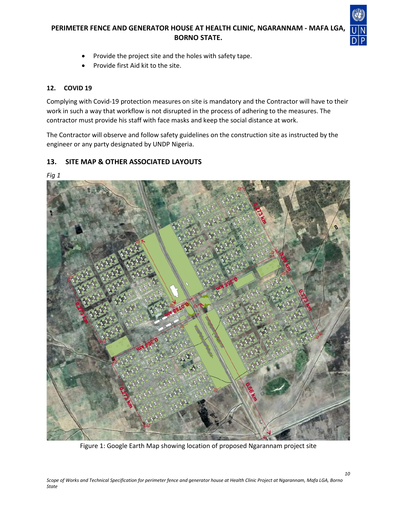

*10*

- Provide the project site and the holes with safety tape.
- Provide first Aid kit to the site.

#### **12. COVID 19**

*Fig 1*

Complying with Covid-19 protection measures on site is mandatory and the Contractor will have to their work in such a way that workflow is not disrupted in the process of adhering to the measures. The contractor must provide his staff with face masks and keep the social distance at work.

The Contractor will observe and follow safety guidelines on the construction site as instructed by the engineer or any party designated by UNDP Nigeria.

### **13. SITE MAP & OTHER ASSOCIATED LAYOUTS**

Figure 1: Google Earth Map showing location of proposed Ngarannam project site